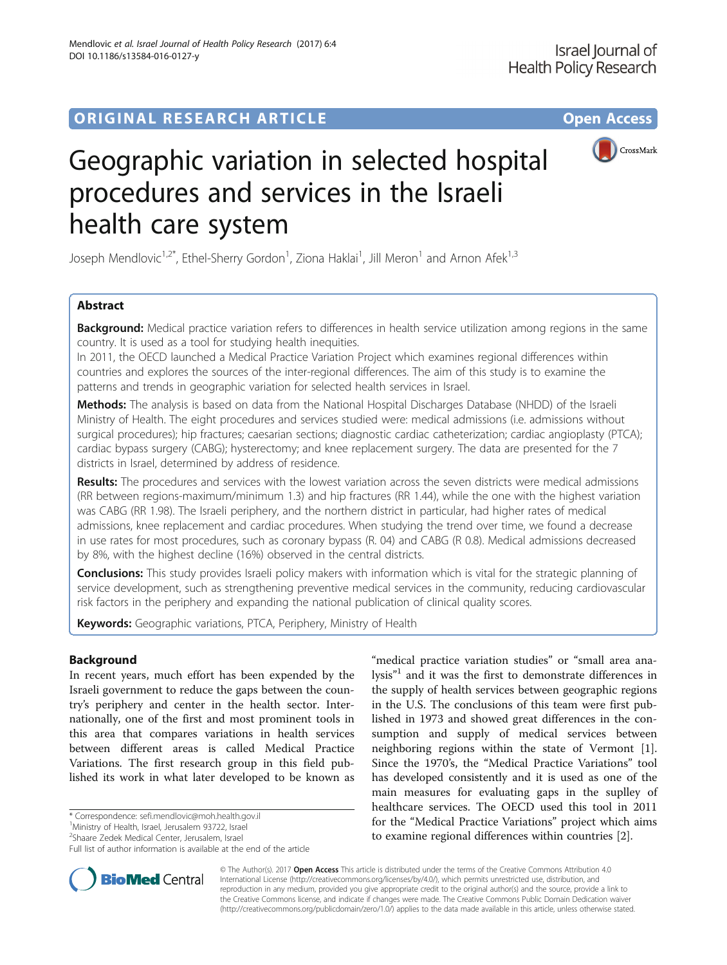# ORIGINAL RESEARCH ARTICLE **External and Contract Contract Contract Contract Contract Contract Contract Contract Contract Contract Contract Contract Contract Contract Contract Contract Contract Contract Contract Contract Co**





# Geographic variation in selected hospital procedures and services in the Israeli health care system

Joseph Mendlovic<sup>1,2\*</sup>, Ethel-Sherry Gordon<sup>1</sup>, Ziona Haklai<sup>1</sup>, Jill Meron<sup>1</sup> and Arnon Afek<sup>1,3</sup>

# Abstract

Background: Medical practice variation refers to differences in health service utilization among regions in the same country. It is used as a tool for studying health inequities.

In 2011, the OECD launched a Medical Practice Variation Project which examines regional differences within countries and explores the sources of the inter-regional differences. The aim of this study is to examine the patterns and trends in geographic variation for selected health services in Israel.

Methods: The analysis is based on data from the National Hospital Discharges Database (NHDD) of the Israeli Ministry of Health. The eight procedures and services studied were: medical admissions (i.e. admissions without surgical procedures); hip fractures; caesarian sections; diagnostic cardiac catheterization; cardiac angioplasty (PTCA); cardiac bypass surgery (CABG); hysterectomy; and knee replacement surgery. The data are presented for the 7 districts in Israel, determined by address of residence.

Results: The procedures and services with the lowest variation across the seven districts were medical admissions (RR between regions-maximum/minimum 1.3) and hip fractures (RR 1.44), while the one with the highest variation was CABG (RR 1.98). The Israeli periphery, and the northern district in particular, had higher rates of medical admissions, knee replacement and cardiac procedures. When studying the trend over time, we found a decrease in use rates for most procedures, such as coronary bypass (R. 04) and CABG (R 0.8). Medical admissions decreased by 8%, with the highest decline (16%) observed in the central districts.

Conclusions: This study provides Israeli policy makers with information which is vital for the strategic planning of service development, such as strengthening preventive medical services in the community, reducing cardiovascular risk factors in the periphery and expanding the national publication of clinical quality scores.

Keywords: Geographic variations, PTCA, Periphery, Ministry of Health

# Background

In recent years, much effort has been expended by the Israeli government to reduce the gaps between the country's periphery and center in the health sector. Internationally, one of the first and most prominent tools in this area that compares variations in health services between different areas is called Medical Practice Variations. The first research group in this field published its work in what later developed to be known as

\* Correspondence: [sefi.mendlovic@moh.health.gov.il](mailto:sefi.mendlovic@moh.health.gov.il) <sup>1</sup>

<sup>1</sup>Ministry of Health, Israel, Jerusalem 93722, Israel

2 Shaare Zedek Medical Center, Jerusalem, Israel

**BioMed Central** 

Full list of author information is available at the end of the article



© The Author(s). 2017 **Open Access** This article is distributed under the terms of the Creative Commons Attribution 4.0 International License [\(http://creativecommons.org/licenses/by/4.0/](http://creativecommons.org/licenses/by/4.0/)), which permits unrestricted use, distribution, and reproduction in any medium, provided you give appropriate credit to the original author(s) and the source, provide a link to the Creative Commons license, and indicate if changes were made. The Creative Commons Public Domain Dedication waiver [\(http://creativecommons.org/publicdomain/zero/1.0/](http://creativecommons.org/publicdomain/zero/1.0/)) applies to the data made available in this article, unless otherwise stated.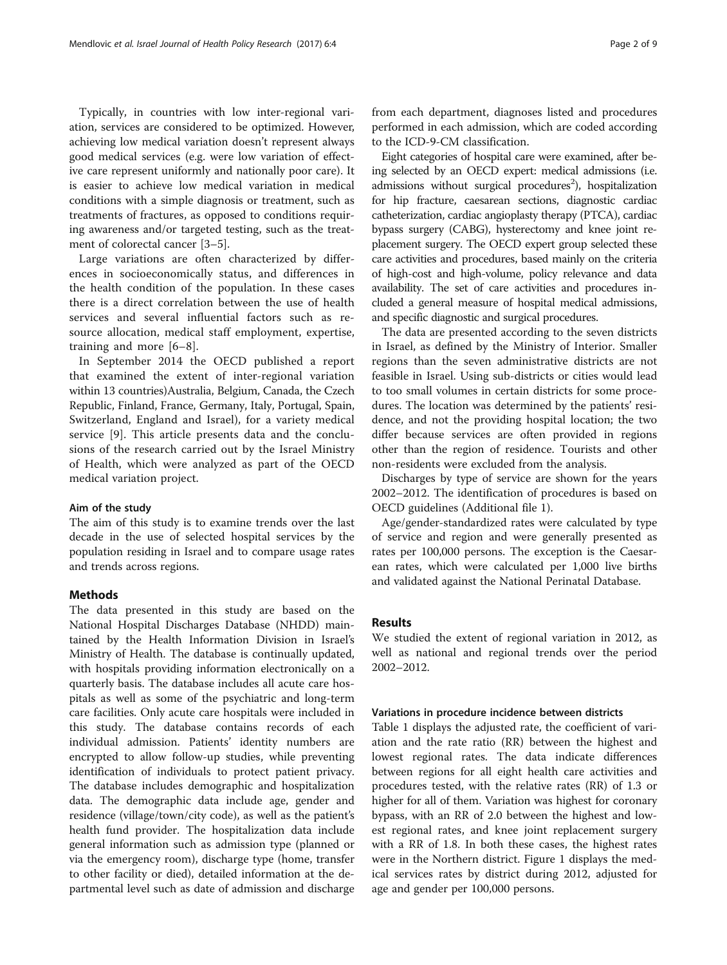Typically, in countries with low inter-regional variation, services are considered to be optimized. However, achieving low medical variation doesn't represent always good medical services (e.g. were low variation of effective care represent uniformly and nationally poor care). It is easier to achieve low medical variation in medical conditions with a simple diagnosis or treatment, such as treatments of fractures, as opposed to conditions requiring awareness and/or targeted testing, such as the treatment of colorectal cancer [\[3](#page-8-0)–[5](#page-8-0)].

Large variations are often characterized by differences in socioeconomically status, and differences in the health condition of the population. In these cases there is a direct correlation between the use of health services and several influential factors such as resource allocation, medical staff employment, expertise, training and more [\[6](#page-8-0)–[8](#page-8-0)].

In September 2014 the OECD published a report that examined the extent of inter-regional variation within 13 countries)Australia, Belgium, Canada, the Czech Republic, Finland, France, Germany, Italy, Portugal, Spain, Switzerland, England and Israel), for a variety medical service [[9](#page-8-0)]. This article presents data and the conclusions of the research carried out by the Israel Ministry of Health, which were analyzed as part of the OECD medical variation project.

#### Aim of the study

The aim of this study is to examine trends over the last decade in the use of selected hospital services by the population residing in Israel and to compare usage rates and trends across regions.

# **Methods**

The data presented in this study are based on the National Hospital Discharges Database (NHDD) maintained by the Health Information Division in Israel's Ministry of Health. The database is continually updated, with hospitals providing information electronically on a quarterly basis. The database includes all acute care hospitals as well as some of the psychiatric and long-term care facilities. Only acute care hospitals were included in this study. The database contains records of each individual admission. Patients' identity numbers are encrypted to allow follow-up studies, while preventing identification of individuals to protect patient privacy. The database includes demographic and hospitalization data. The demographic data include age, gender and residence (village/town/city code), as well as the patient's health fund provider. The hospitalization data include general information such as admission type (planned or via the emergency room), discharge type (home, transfer to other facility or died), detailed information at the departmental level such as date of admission and discharge from each department, diagnoses listed and procedures performed in each admission, which are coded according to the ICD-9-CM classification.

Eight categories of hospital care were examined, after being selected by an OECD expert: medical admissions (i.e. admissions without surgical procedures<sup>2</sup>), hospitalization for hip fracture, caesarean sections, diagnostic cardiac catheterization, cardiac angioplasty therapy (PTCA), cardiac bypass surgery (CABG), hysterectomy and knee joint replacement surgery. The OECD expert group selected these care activities and procedures, based mainly on the criteria of high-cost and high-volume, policy relevance and data availability. The set of care activities and procedures included a general measure of hospital medical admissions, and specific diagnostic and surgical procedures.

The data are presented according to the seven districts in Israel, as defined by the Ministry of Interior. Smaller regions than the seven administrative districts are not feasible in Israel. Using sub-districts or cities would lead to too small volumes in certain districts for some procedures. The location was determined by the patients' residence, and not the providing hospital location; the two differ because services are often provided in regions other than the region of residence. Tourists and other non-residents were excluded from the analysis.

Discharges by type of service are shown for the years 2002–2012. The identification of procedures is based on OECD guidelines (Additional file [1\)](#page-7-0).

Age/gender-standardized rates were calculated by type of service and region and were generally presented as rates per 100,000 persons. The exception is the Caesarean rates, which were calculated per 1,000 live births and validated against the National Perinatal Database.

## Results

We studied the extent of regional variation in 2012, as well as national and regional trends over the period 2002–2012.

#### Variations in procedure incidence between districts

Table [1](#page-2-0) displays the adjusted rate, the coefficient of variation and the rate ratio (RR) between the highest and lowest regional rates. The data indicate differences between regions for all eight health care activities and procedures tested, with the relative rates (RR) of 1.3 or higher for all of them. Variation was highest for coronary bypass, with an RR of 2.0 between the highest and lowest regional rates, and knee joint replacement surgery with a RR of 1.8. In both these cases, the highest rates were in the Northern district. Figure [1](#page-3-0) displays the medical services rates by district during 2012, adjusted for age and gender per 100,000 persons.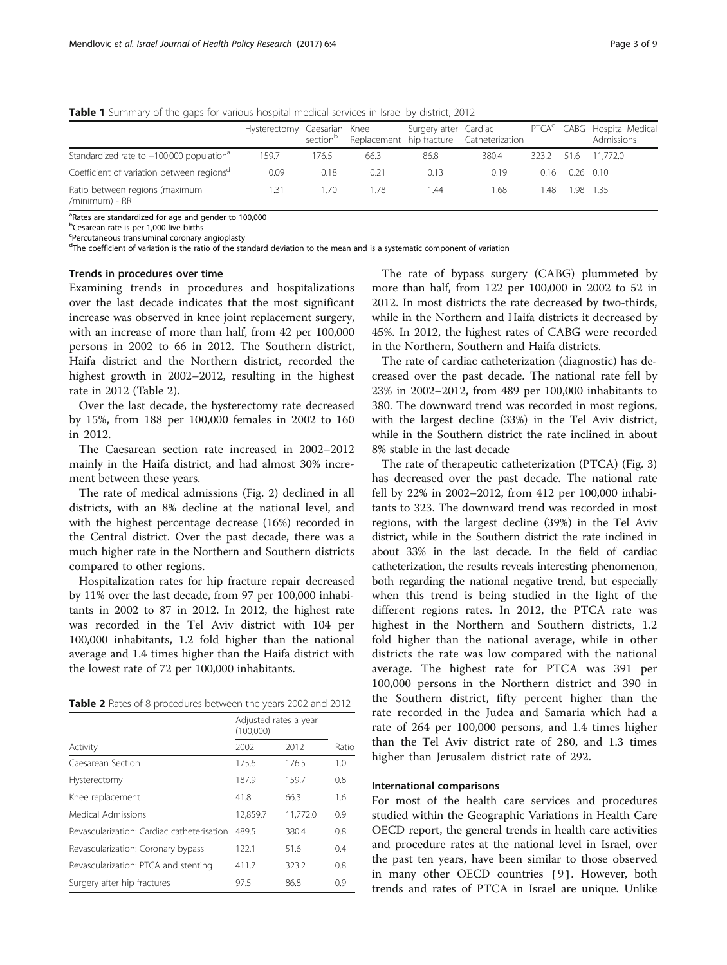|                                                         | Hysterectomy Caesarian Knee | section <sup>b</sup> |       | Surgery after Cardiac | Replacement hip fracture Catheterization |       |      | PTCA <sup>c</sup> CABG Hospital Medical<br>Admissions |
|---------------------------------------------------------|-----------------------------|----------------------|-------|-----------------------|------------------------------------------|-------|------|-------------------------------------------------------|
| Standardized rate to $-100,000$ population <sup>a</sup> | 159.7                       | 76.5                 | 66.3  | 86.8                  | 380.4                                    | 323.2 | 51.6 | 11.772.0                                              |
| Coefficient of variation between regions <sup>d</sup>   | 0.09                        | 0.18                 | 0.21  | 0.13                  | 0.19                                     | 0.16  |      | $0.26$ $0.10$                                         |
| Ratio between regions (maximum<br>/minimum) - RR        | 1.31                        | 170                  | 1 78. | .44                   | 1.68                                     | -48   | 98   | 135                                                   |

<span id="page-2-0"></span>**Table 1** Summary of the gaps for various hospital medical services in Israel by district, 2012

<sup>a</sup>Rates are standardized for age and gender to 100,000

<sup>b</sup>Cesarean rate is per 1,000 live births

<sup>c</sup>Percutaneous transluminal coronary angioplasty

<sup>d</sup>The coefficient of variation is the ratio of the standard deviation to the mean and is a systematic component of variation

## Trends in procedures over time

Examining trends in procedures and hospitalizations over the last decade indicates that the most significant increase was observed in knee joint replacement surgery, with an increase of more than half, from 42 per 100,000 persons in 2002 to 66 in 2012. The Southern district, Haifa district and the Northern district, recorded the highest growth in 2002–2012, resulting in the highest rate in 2012 (Table 2).

Over the last decade, the hysterectomy rate decreased by 15%, from 188 per 100,000 females in 2002 to 160 in 2012.

The Caesarean section rate increased in 2002–2012 mainly in the Haifa district, and had almost 30% increment between these years.

The rate of medical admissions (Fig. [2\)](#page-3-0) declined in all districts, with an 8% decline at the national level, and with the highest percentage decrease (16%) recorded in the Central district. Over the past decade, there was a much higher rate in the Northern and Southern districts compared to other regions.

Hospitalization rates for hip fracture repair decreased by 11% over the last decade, from 97 per 100,000 inhabitants in 2002 to 87 in 2012. In 2012, the highest rate was recorded in the Tel Aviv district with 104 per 100,000 inhabitants, 1.2 fold higher than the national average and 1.4 times higher than the Haifa district with the lowest rate of 72 per 100,000 inhabitants.

|                                            | Adjusted rates a year<br>(100.000) |          |       |  |
|--------------------------------------------|------------------------------------|----------|-------|--|
| Activity                                   | 2002                               | 2012     | Ratio |  |
| Caesarean Section                          | 175.6                              | 176.5    | 1.0   |  |
| Hysterectomy                               | 187.9                              | 159.7    | 0.8   |  |
| Knee replacement                           | 41.8                               | 66.3     | 1.6   |  |
| Medical Admissions                         | 12,859.7                           | 11.772.0 | 0.9   |  |
| Revascularization: Cardiac catheterisation | 489.5                              | 380.4    | 0.8   |  |
| Revascularization: Coronary bypass         | 122.1                              | 51.6     | 0.4   |  |
| Revascularization: PTCA and stenting       | 411.7                              | 323.2    | 0.8   |  |
| Surgery after hip fractures                | 97.5                               | 86.8     | 0.9   |  |

The rate of bypass surgery (CABG) plummeted by more than half, from 122 per 100,000 in 2002 to 52 in 2012. In most districts the rate decreased by two-thirds, while in the Northern and Haifa districts it decreased by 45%. In 2012, the highest rates of CABG were recorded in the Northern, Southern and Haifa districts.

The rate of cardiac catheterization (diagnostic) has decreased over the past decade. The national rate fell by 23% in 2002–2012, from 489 per 100,000 inhabitants to 380. The downward trend was recorded in most regions, with the largest decline (33%) in the Tel Aviv district, while in the Southern district the rate inclined in about 8% stable in the last decade

The rate of therapeutic catheterization (PTCA) (Fig. [3](#page-4-0)) has decreased over the past decade. The national rate fell by 22% in 2002–2012, from 412 per 100,000 inhabitants to 323. The downward trend was recorded in most regions, with the largest decline (39%) in the Tel Aviv district, while in the Southern district the rate inclined in about 33% in the last decade. In the field of cardiac catheterization, the results reveals interesting phenomenon, both regarding the national negative trend, but especially when this trend is being studied in the light of the different regions rates. In 2012, the PTCA rate was highest in the Northern and Southern districts, 1.2 fold higher than the national average, while in other districts the rate was low compared with the national average. The highest rate for PTCA was 391 per 100,000 persons in the Northern district and 390 in the Southern district, fifty percent higher than the rate recorded in the Judea and Samaria which had a rate of 264 per 100,000 persons, and 1.4 times higher than the Tel Aviv district rate of 280, and 1.3 times higher than Jerusalem district rate of 292.

## International comparisons

For most of the health care services and procedures studied within the Geographic Variations in Health Care OECD report, the general trends in health care activities and procedure rates at the national level in Israel, over the past ten years, have been similar to those observed in many other OECD countries [[9](#page-8-0)]. However, both trends and rates of PTCA in Israel are unique. Unlike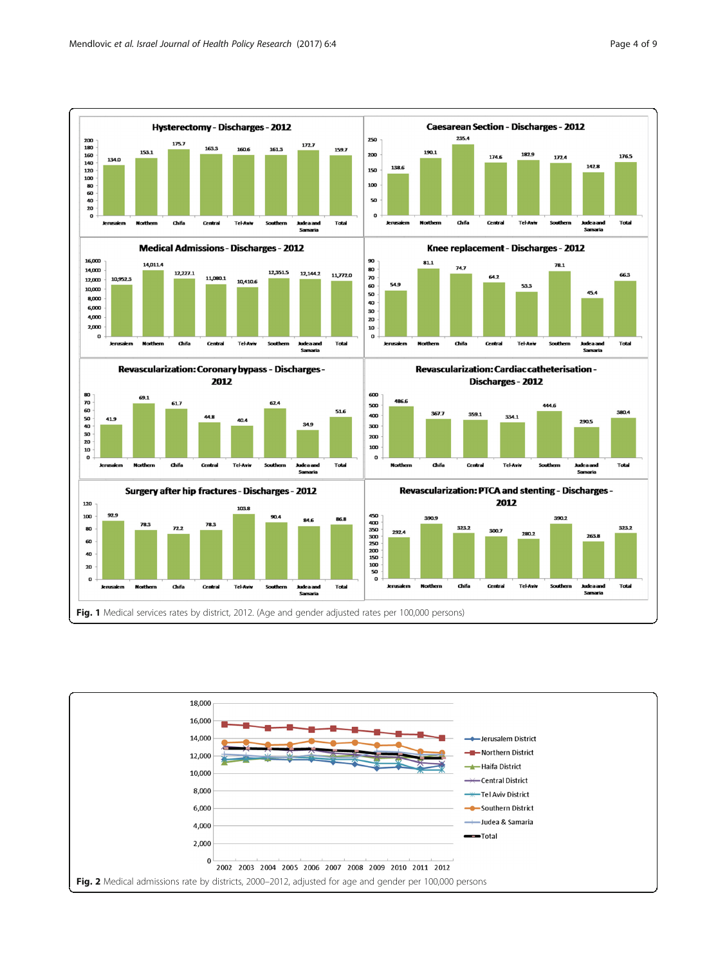<span id="page-3-0"></span>

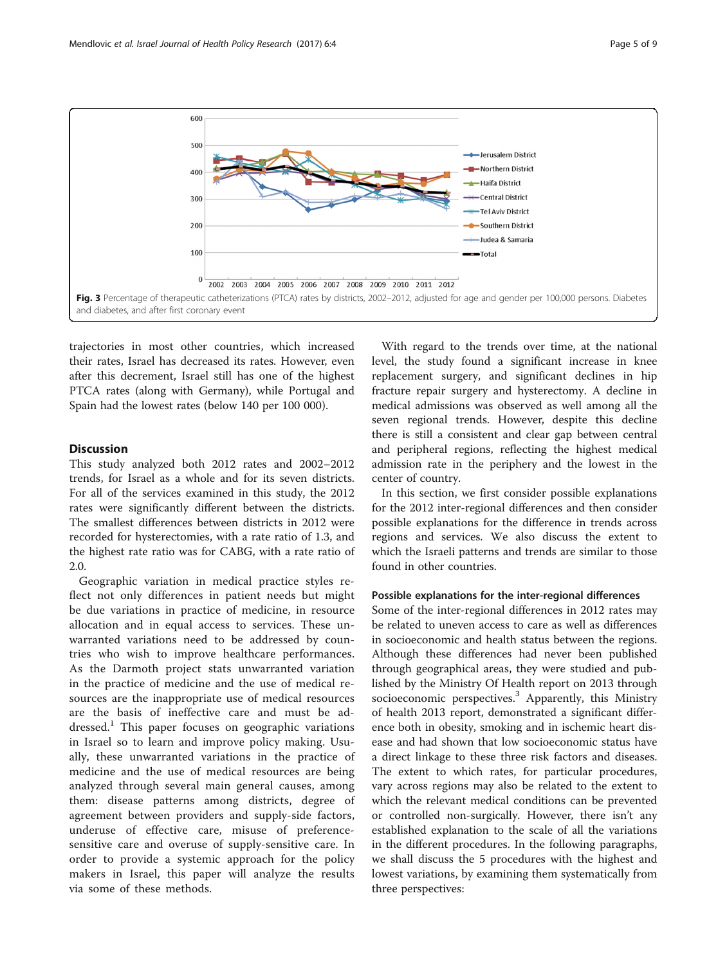<span id="page-4-0"></span>

trajectories in most other countries, which increased their rates, Israel has decreased its rates. However, even after this decrement, Israel still has one of the highest PTCA rates (along with Germany), while Portugal and Spain had the lowest rates (below 140 per 100 000).

# Discussion

This study analyzed both 2012 rates and 2002–2012 trends, for Israel as a whole and for its seven districts. For all of the services examined in this study, the 2012 rates were significantly different between the districts. The smallest differences between districts in 2012 were recorded for hysterectomies, with a rate ratio of 1.3, and the highest rate ratio was for CABG, with a rate ratio of 2.0.

Geographic variation in medical practice styles reflect not only differences in patient needs but might be due variations in practice of medicine, in resource allocation and in equal access to services. These unwarranted variations need to be addressed by countries who wish to improve healthcare performances. As the Darmoth project stats unwarranted variation in the practice of medicine and the use of medical resources are the inappropriate use of medical resources are the basis of ineffective care and must be addressed.<sup>1</sup> This paper focuses on geographic variations in Israel so to learn and improve policy making. Usually, these unwarranted variations in the practice of medicine and the use of medical resources are being analyzed through several main general causes, among them: disease patterns among districts, degree of agreement between providers and supply-side factors, underuse of effective care, misuse of preferencesensitive care and overuse of supply-sensitive care. In order to provide a systemic approach for the policy makers in Israel, this paper will analyze the results via some of these methods.

With regard to the trends over time, at the national level, the study found a significant increase in knee replacement surgery, and significant declines in hip fracture repair surgery and hysterectomy. A decline in medical admissions was observed as well among all the seven regional trends. However, despite this decline there is still a consistent and clear gap between central and peripheral regions, reflecting the highest medical admission rate in the periphery and the lowest in the center of country.

In this section, we first consider possible explanations for the 2012 inter-regional differences and then consider possible explanations for the difference in trends across regions and services. We also discuss the extent to which the Israeli patterns and trends are similar to those found in other countries.

## Possible explanations for the inter-regional differences

Some of the inter-regional differences in 2012 rates may be related to uneven access to care as well as differences in socioeconomic and health status between the regions. Although these differences had never been published through geographical areas, they were studied and published by the Ministry Of Health report on 2013 through socioeconomic perspectives.<sup>3</sup> Apparently, this Ministry of health 2013 report, demonstrated a significant difference both in obesity, smoking and in ischemic heart disease and had shown that low socioeconomic status have a direct linkage to these three risk factors and diseases. The extent to which rates, for particular procedures, vary across regions may also be related to the extent to which the relevant medical conditions can be prevented or controlled non-surgically. However, there isn't any established explanation to the scale of all the variations in the different procedures. In the following paragraphs, we shall discuss the 5 procedures with the highest and lowest variations, by examining them systematically from three perspectives: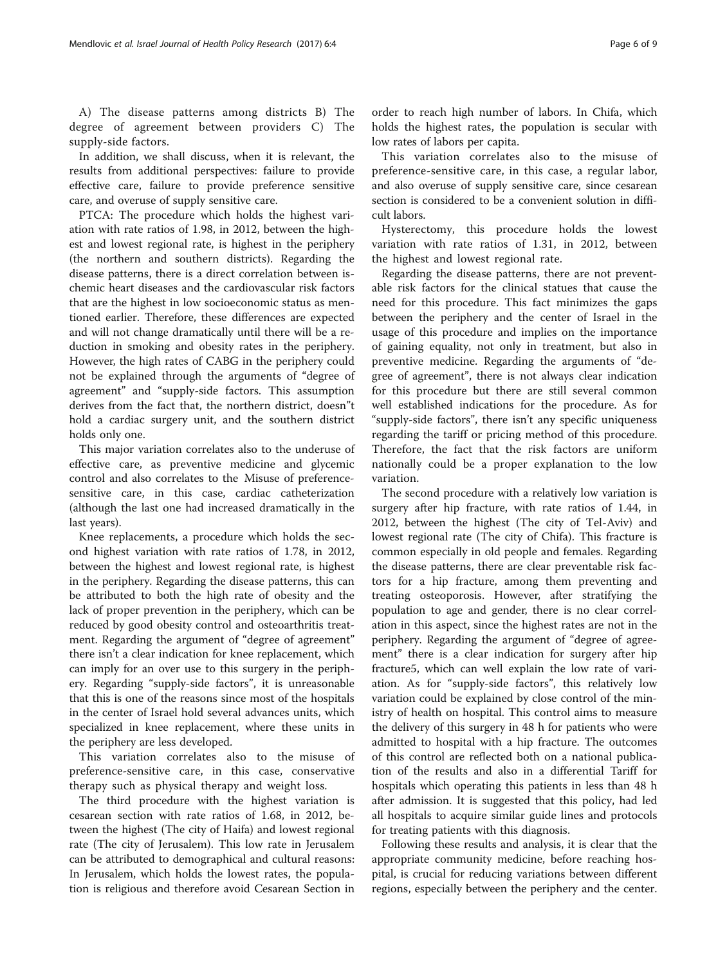A) The disease patterns among districts B) The degree of agreement between providers C) The supply-side factors.

In addition, we shall discuss, when it is relevant, the results from additional perspectives: failure to provide effective care, failure to provide preference sensitive care, and overuse of supply sensitive care.

PTCA: The procedure which holds the highest variation with rate ratios of 1.98, in 2012, between the highest and lowest regional rate, is highest in the periphery (the northern and southern districts). Regarding the disease patterns, there is a direct correlation between ischemic heart diseases and the cardiovascular risk factors that are the highest in low socioeconomic status as mentioned earlier. Therefore, these differences are expected and will not change dramatically until there will be a reduction in smoking and obesity rates in the periphery. However, the high rates of CABG in the periphery could not be explained through the arguments of "degree of agreement" and "supply-side factors. This assumption derives from the fact that, the northern district, doesn"t hold a cardiac surgery unit, and the southern district holds only one.

This major variation correlates also to the underuse of effective care, as preventive medicine and glycemic control and also correlates to the Misuse of preferencesensitive care, in this case, cardiac catheterization (although the last one had increased dramatically in the last years).

Knee replacements, a procedure which holds the second highest variation with rate ratios of 1.78, in 2012, between the highest and lowest regional rate, is highest in the periphery. Regarding the disease patterns, this can be attributed to both the high rate of obesity and the lack of proper prevention in the periphery, which can be reduced by good obesity control and osteoarthritis treatment. Regarding the argument of "degree of agreement" there isn't a clear indication for knee replacement, which can imply for an over use to this surgery in the periphery. Regarding "supply-side factors", it is unreasonable that this is one of the reasons since most of the hospitals in the center of Israel hold several advances units, which specialized in knee replacement, where these units in the periphery are less developed.

This variation correlates also to the misuse of preference-sensitive care, in this case, conservative therapy such as physical therapy and weight loss.

The third procedure with the highest variation is cesarean section with rate ratios of 1.68, in 2012, between the highest (The city of Haifa) and lowest regional rate (The city of Jerusalem). This low rate in Jerusalem can be attributed to demographical and cultural reasons: In Jerusalem, which holds the lowest rates, the population is religious and therefore avoid Cesarean Section in

order to reach high number of labors. In Chifa, which holds the highest rates, the population is secular with low rates of labors per capita.

This variation correlates also to the misuse of preference-sensitive care, in this case, a regular labor, and also overuse of supply sensitive care, since cesarean section is considered to be a convenient solution in difficult labors.

Hysterectomy, this procedure holds the lowest variation with rate ratios of 1.31, in 2012, between the highest and lowest regional rate.

Regarding the disease patterns, there are not preventable risk factors for the clinical statues that cause the need for this procedure. This fact minimizes the gaps between the periphery and the center of Israel in the usage of this procedure and implies on the importance of gaining equality, not only in treatment, but also in preventive medicine. Regarding the arguments of "degree of agreement", there is not always clear indication for this procedure but there are still several common well established indications for the procedure. As for "supply-side factors", there isn't any specific uniqueness regarding the tariff or pricing method of this procedure. Therefore, the fact that the risk factors are uniform nationally could be a proper explanation to the low variation.

The second procedure with a relatively low variation is surgery after hip fracture, with rate ratios of 1.44, in 2012, between the highest (The city of Tel-Aviv) and lowest regional rate (The city of Chifa). This fracture is common especially in old people and females. Regarding the disease patterns, there are clear preventable risk factors for a hip fracture, among them preventing and treating osteoporosis. However, after stratifying the population to age and gender, there is no clear correlation in this aspect, since the highest rates are not in the periphery. Regarding the argument of "degree of agreement" there is a clear indication for surgery after hip fracture5, which can well explain the low rate of variation. As for "supply-side factors", this relatively low variation could be explained by close control of the ministry of health on hospital. This control aims to measure the delivery of this surgery in 48 h for patients who were admitted to hospital with a hip fracture. The outcomes of this control are reflected both on a national publication of the results and also in a differential Tariff for hospitals which operating this patients in less than 48 h after admission. It is suggested that this policy, had led all hospitals to acquire similar guide lines and protocols for treating patients with this diagnosis.

Following these results and analysis, it is clear that the appropriate community medicine, before reaching hospital, is crucial for reducing variations between different regions, especially between the periphery and the center.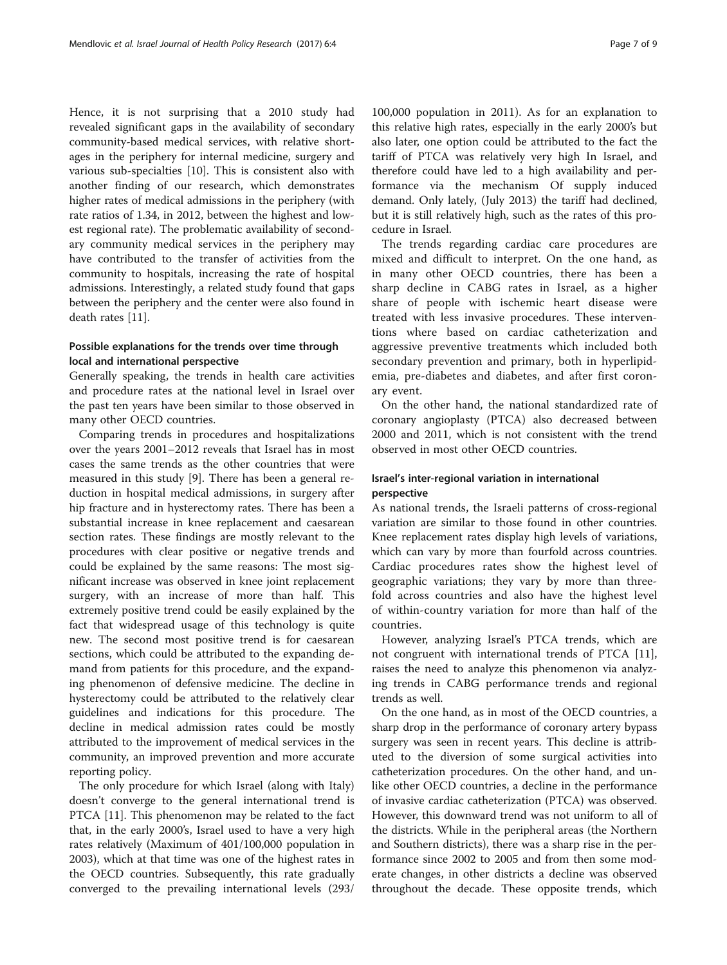Hence, it is not surprising that a 2010 study had revealed significant gaps in the availability of secondary community-based medical services, with relative shortages in the periphery for internal medicine, surgery and various sub-specialties [\[10](#page-8-0)]. This is consistent also with another finding of our research, which demonstrates higher rates of medical admissions in the periphery (with rate ratios of 1.34, in 2012, between the highest and lowest regional rate). The problematic availability of secondary community medical services in the periphery may have contributed to the transfer of activities from the community to hospitals, increasing the rate of hospital admissions. Interestingly, a related study found that gaps between the periphery and the center were also found in death rates [[11](#page-8-0)].

# Possible explanations for the trends over time through local and international perspective

Generally speaking, the trends in health care activities and procedure rates at the national level in Israel over the past ten years have been similar to those observed in many other OECD countries.

Comparing trends in procedures and hospitalizations over the years 2001–2012 reveals that Israel has in most cases the same trends as the other countries that were measured in this study [\[9](#page-8-0)]. There has been a general reduction in hospital medical admissions, in surgery after hip fracture and in hysterectomy rates. There has been a substantial increase in knee replacement and caesarean section rates. These findings are mostly relevant to the procedures with clear positive or negative trends and could be explained by the same reasons: The most significant increase was observed in knee joint replacement surgery, with an increase of more than half. This extremely positive trend could be easily explained by the fact that widespread usage of this technology is quite new. The second most positive trend is for caesarean sections, which could be attributed to the expanding demand from patients for this procedure, and the expanding phenomenon of defensive medicine. The decline in hysterectomy could be attributed to the relatively clear guidelines and indications for this procedure. The decline in medical admission rates could be mostly attributed to the improvement of medical services in the community, an improved prevention and more accurate reporting policy.

The only procedure for which Israel (along with Italy) doesn't converge to the general international trend is PTCA [[11](#page-8-0)]. This phenomenon may be related to the fact that, in the early 2000's, Israel used to have a very high rates relatively (Maximum of 401/100,000 population in 2003), which at that time was one of the highest rates in the OECD countries. Subsequently, this rate gradually converged to the prevailing international levels (293/ 100,000 population in 2011). As for an explanation to this relative high rates, especially in the early 2000's but also later, one option could be attributed to the fact the tariff of PTCA was relatively very high In Israel, and therefore could have led to a high availability and performance via the mechanism Of supply induced demand. Only lately, (July 2013) the tariff had declined, but it is still relatively high, such as the rates of this procedure in Israel.

The trends regarding cardiac care procedures are mixed and difficult to interpret. On the one hand, as in many other OECD countries, there has been a sharp decline in CABG rates in Israel, as a higher share of people with ischemic heart disease were treated with less invasive procedures. These interventions where based on cardiac catheterization and aggressive preventive treatments which included both secondary prevention and primary, both in hyperlipidemia, pre-diabetes and diabetes, and after first coronary event.

On the other hand, the national standardized rate of coronary angioplasty (PTCA) also decreased between 2000 and 2011, which is not consistent with the trend observed in most other OECD countries.

# Israel's inter-regional variation in international perspective

As national trends, the Israeli patterns of cross-regional variation are similar to those found in other countries. Knee replacement rates display high levels of variations, which can vary by more than fourfold across countries. Cardiac procedures rates show the highest level of geographic variations; they vary by more than threefold across countries and also have the highest level of within-country variation for more than half of the countries.

However, analyzing Israel's PTCA trends, which are not congruent with international trends of PTCA [\[11](#page-8-0)], raises the need to analyze this phenomenon via analyzing trends in CABG performance trends and regional trends as well.

On the one hand, as in most of the OECD countries, a sharp drop in the performance of coronary artery bypass surgery was seen in recent years. This decline is attributed to the diversion of some surgical activities into catheterization procedures. On the other hand, and unlike other OECD countries, a decline in the performance of invasive cardiac catheterization (PTCA) was observed. However, this downward trend was not uniform to all of the districts. While in the peripheral areas (the Northern and Southern districts), there was a sharp rise in the performance since 2002 to 2005 and from then some moderate changes, in other districts a decline was observed throughout the decade. These opposite trends, which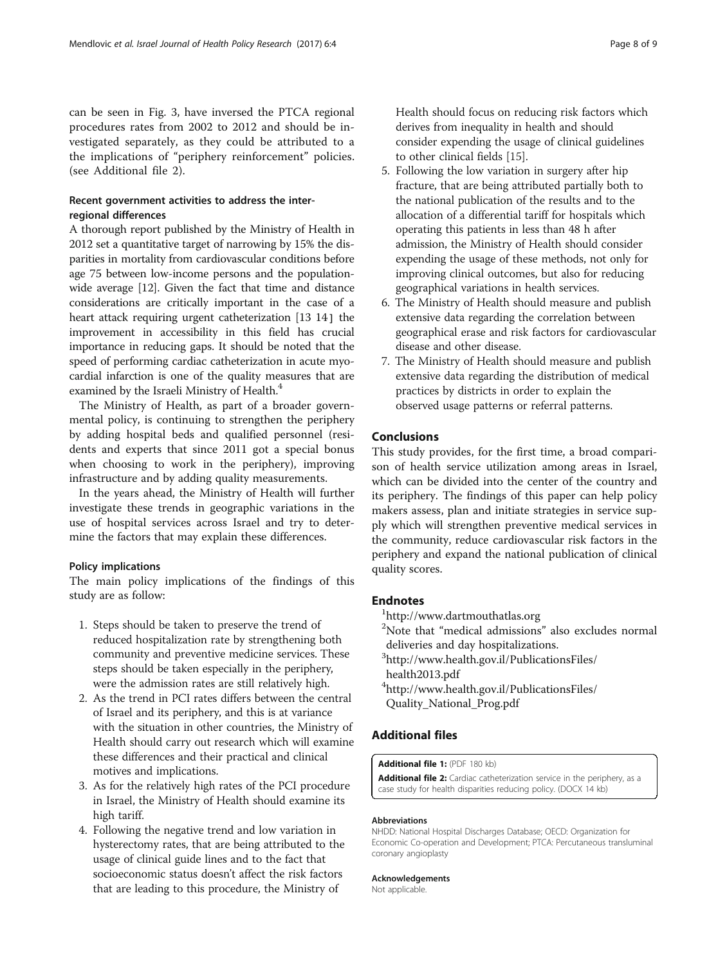<span id="page-7-0"></span>can be seen in Fig. [3](#page-4-0), have inversed the PTCA regional procedures rates from 2002 to 2012 and should be investigated separately, as they could be attributed to a the implications of "periphery reinforcement" policies. (see Additional file 2).

# Recent government activities to address the interregional differences

A thorough report published by the Ministry of Health in 2012 set a quantitative target of narrowing by 15% the disparities in mortality from cardiovascular conditions before age 75 between low-income persons and the populationwide average [\[12\]](#page-8-0). Given the fact that time and distance considerations are critically important in the case of a heart attack requiring urgent catheterization [\[13 14](#page-8-0)] the improvement in accessibility in this field has crucial importance in reducing gaps. It should be noted that the speed of performing cardiac catheterization in acute myocardial infarction is one of the quality measures that are examined by the Israeli Ministry of Health.<sup>4</sup>

The Ministry of Health, as part of a broader governmental policy, is continuing to strengthen the periphery by adding hospital beds and qualified personnel (residents and experts that since 2011 got a special bonus when choosing to work in the periphery), improving infrastructure and by adding quality measurements.

In the years ahead, the Ministry of Health will further investigate these trends in geographic variations in the use of hospital services across Israel and try to determine the factors that may explain these differences.

#### Policy implications

The main policy implications of the findings of this study are as follow:

- 1. Steps should be taken to preserve the trend of reduced hospitalization rate by strengthening both community and preventive medicine services. These steps should be taken especially in the periphery, were the admission rates are still relatively high.
- 2. As the trend in PCI rates differs between the central of Israel and its periphery, and this is at variance with the situation in other countries, the Ministry of Health should carry out research which will examine these differences and their practical and clinical motives and implications.
- 3. As for the relatively high rates of the PCI procedure in Israel, the Ministry of Health should examine its high tariff.
- 4. Following the negative trend and low variation in hysterectomy rates, that are being attributed to the usage of clinical guide lines and to the fact that socioeconomic status doesn't affect the risk factors that are leading to this procedure, the Ministry of

Health should focus on reducing risk factors which derives from inequality in health and should consider expending the usage of clinical guidelines to other clinical fields [[15\]](#page-8-0).

- 5. Following the low variation in surgery after hip fracture, that are being attributed partially both to the national publication of the results and to the allocation of a differential tariff for hospitals which operating this patients in less than 48 h after admission, the Ministry of Health should consider expending the usage of these methods, not only for improving clinical outcomes, but also for reducing geographical variations in health services.
- 6. The Ministry of Health should measure and publish extensive data regarding the correlation between geographical erase and risk factors for cardiovascular disease and other disease.
- 7. The Ministry of Health should measure and publish extensive data regarding the distribution of medical practices by districts in order to explain the observed usage patterns or referral patterns.

# Conclusions

This study provides, for the first time, a broad comparison of health service utilization among areas in Israel, which can be divided into the center of the country and its periphery. The findings of this paper can help policy makers assess, plan and initiate strategies in service supply which will strengthen preventive medical services in the community, reduce cardiovascular risk factors in the periphery and expand the national publication of clinical quality scores.

## **Endnotes**

- [http://www.dartmouthatlas.org](http://www.dartmouthatlas.org/)
- <sup>2</sup>Note that "medical admissions" also excludes normal deliveries and day hospitalizations.
- 3 [http://www.health.gov.il/PublicationsFiles/](http://www.health.gov.il/PublicationsFiles/health2013.pdf) [health2013.pdf](http://www.health.gov.il/PublicationsFiles/health2013.pdf)
- 4 [http://www.health.gov.il/PublicationsFiles/](http://www.health.gov.il/PublicationsFiles/Quality_National_Prog.pdf) [Quality\\_National\\_Prog.pdf](http://www.health.gov.il/PublicationsFiles/Quality_National_Prog.pdf)

## Additional files

[Additional file 1:](dx.doi.org/10.1186/s13584-016-0127-y) (PDF 180 kb)

[Additional file 2:](dx.doi.org/10.1186/s13584-016-0127-y) Cardiac catheterization service in the periphery, as a case study for health disparities reducing policy. (DOCX 14 kb)

#### Abbreviations

NHDD: National Hospital Discharges Database; OECD: Organization for Economic Co-operation and Development; PTCA: Percutaneous transluminal coronary angioplasty

# Acknowledgements

Not applicable.